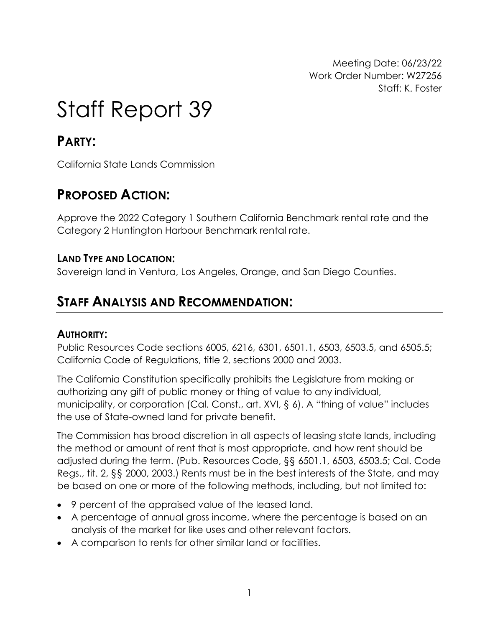Meeting Date: 06/23/22 Work Order Number: W27256 Staff: K. Foster

# Staff Report 39

### **PARTY:**

California State Lands Commission

### **PROPOSED ACTION:**

Approve the 2022 Category 1 Southern California Benchmark rental rate and the Category 2 Huntington Harbour Benchmark rental rate.

### **LAND TYPE AND LOCATION:**

Sovereign land in Ventura, Los Angeles, Orange, and San Diego Counties.

### **STAFF ANALYSIS AND RECOMMENDATION:**

#### **AUTHORITY:**

Public Resources Code sections 6005, 6216, 6301, 6501.1, 6503, 6503.5, and 6505.5; California Code of Regulations, title 2, sections 2000 and 2003.

The California Constitution specifically prohibits the Legislature from making or authorizing any gift of public money or thing of value to any individual, municipality, or corporation (Cal. Const., art. XVI, § 6). A "thing of value" includes the use of State-owned land for private benefit.

The Commission has broad discretion in all aspects of leasing state lands, including the method or amount of rent that is most appropriate, and how rent should be adjusted during the term. (Pub. Resources Code, §§ 6501.1, 6503, 6503.5; Cal. Code Regs., tit. 2, §§ 2000, 2003.) Rents must be in the best interests of the State, and may be based on one or more of the following methods, including, but not limited to:

- 9 percent of the appraised value of the leased land.
- A percentage of annual gross income, where the percentage is based on an analysis of the market for like uses and other relevant factors.
- A comparison to rents for other similar land or facilities.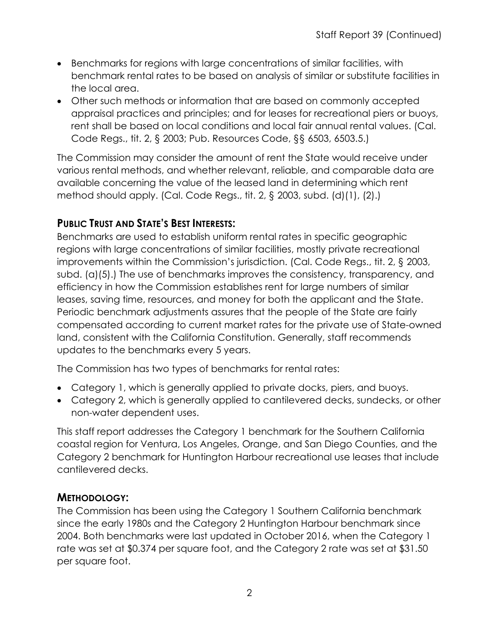- Benchmarks for regions with large concentrations of similar facilities, with benchmark rental rates to be based on analysis of similar or substitute facilities in the local area.
- Other such methods or information that are based on commonly accepted appraisal practices and principles; and for leases for recreational piers or buoys, rent shall be based on local conditions and local fair annual rental values. (Cal. Code Regs., tit. 2, § 2003; Pub. Resources Code, §§ 6503, 6503.5.)

The Commission may consider the amount of rent the State would receive under various rental methods, and whether relevant, reliable, and comparable data are available concerning the value of the leased land in determining which rent method should apply. (Cal. Code Regs., tit. 2, § 2003, subd. (d)(1), (2).)

### **PUBLIC TRUST AND STATE'S BEST INTERESTS:**

Benchmarks are used to establish uniform rental rates in specific geographic regions with large concentrations of similar facilities, mostly private recreational improvements within the Commission's jurisdiction. (Cal. Code Regs., tit. 2, § 2003, subd. (a)(5).) The use of benchmarks improves the consistency, transparency, and efficiency in how the Commission establishes rent for large numbers of similar leases, saving time, resources, and money for both the applicant and the State. Periodic benchmark adjustments assures that the people of the State are fairly compensated according to current market rates for the private use of State-owned land, consistent with the California Constitution. Generally, staff recommends updates to the benchmarks every 5 years.

The Commission has two types of benchmarks for rental rates:

- Category 1, which is generally applied to private docks, piers, and buoys.
- Category 2, which is generally applied to cantilevered decks, sundecks, or other non-water dependent uses.

This staff report addresses the Category 1 benchmark for the Southern California coastal region for Ventura, Los Angeles, Orange, and San Diego Counties, and the Category 2 benchmark for Huntington Harbour recreational use leases that include cantilevered decks.

#### **METHODOLOGY:**

The Commission has been using the Category 1 Southern California benchmark since the early 1980s and the Category 2 Huntington Harbour benchmark since 2004. Both benchmarks were last updated in October 2016, when the Category 1 rate was set at \$0.374 per square foot, and the Category 2 rate was set at \$31.50 per square foot.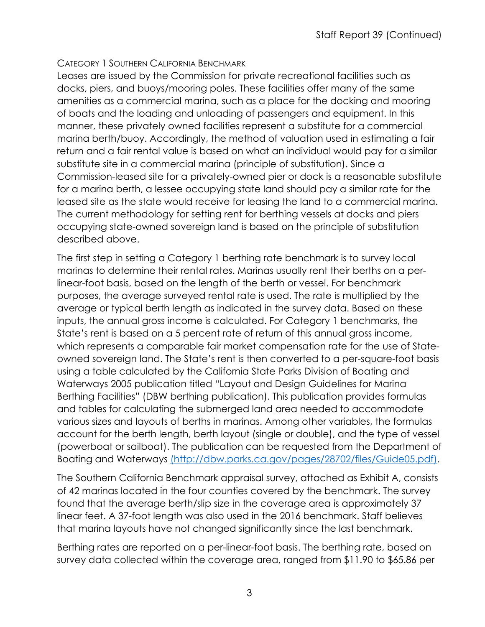#### CATEGORY 1 SOUTHERN CALIFORNIA BENCHMARK

Leases are issued by the Commission for private recreational facilities such as docks, piers, and buoys/mooring poles. These facilities offer many of the same amenities as a commercial marina, such as a place for the docking and mooring of boats and the loading and unloading of passengers and equipment. In this manner, these privately owned facilities represent a substitute for a commercial marina berth/buoy. Accordingly, the method of valuation used in estimating a fair return and a fair rental value is based on what an individual would pay for a similar substitute site in a commercial marina (principle of substitution). Since a Commission-leased site for a privately-owned pier or dock is a reasonable substitute for a marina berth, a lessee occupying state land should pay a similar rate for the leased site as the state would receive for leasing the land to a commercial marina. The current methodology for setting rent for berthing vessels at docks and piers occupying state-owned sovereign land is based on the principle of substitution described above.

The first step in setting a Category 1 berthing rate benchmark is to survey local marinas to determine their rental rates. Marinas usually rent their berths on a perlinear-foot basis, based on the length of the berth or vessel. For benchmark purposes, the average surveyed rental rate is used. The rate is multiplied by the average or typical berth length as indicated in the survey data. Based on these inputs, the annual gross income is calculated. For Category 1 benchmarks, the State's rent is based on a 5 percent rate of return of this annual gross income, which represents a comparable fair market compensation rate for the use of Stateowned sovereign land. The State's rent is then converted to a per-square-foot basis using a table calculated by the California State Parks Division of Boating and Waterways 2005 publication titled "Layout and Design Guidelines for Marina Berthing Facilities" (DBW berthing publication). This publication provides formulas and tables for calculating the submerged land area needed to accommodate various sizes and layouts of berths in marinas. Among other variables, the formulas account for the berth length, berth layout (single or double), and the type of vessel (powerboat or sailboat). The publication can be requested from the Department of Boating and Waterways (http://dbw.parks.ca.gov/pages/28702/files/Guide05.pdf).

The Southern California Benchmark appraisal survey, attached as Exhibit A, consists of 42 marinas located in the four counties covered by the benchmark. The survey found that the average berth/slip size in the coverage area is approximately 37 linear feet. A 37-foot length was also used in the 2016 benchmark. Staff believes that marina layouts have not changed significantly since the last benchmark.

Berthing rates are reported on a per-linear-foot basis. The berthing rate, based on survey data collected within the coverage area, ranged from \$11.90 to \$65.86 per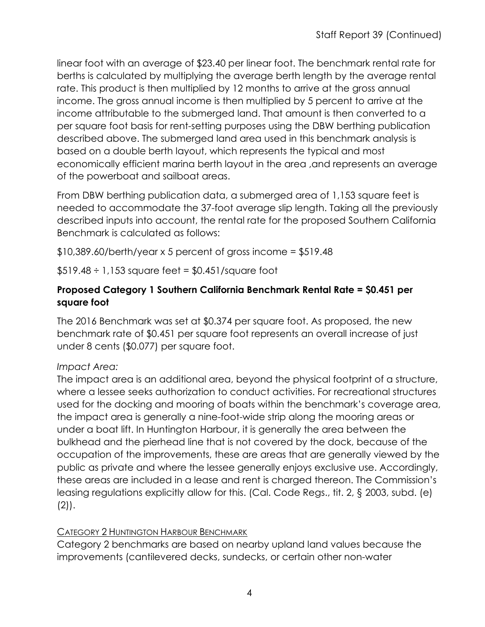linear foot with an average of \$23.40 per linear foot. The benchmark rental rate for berths is calculated by multiplying the average berth length by the average rental rate. This product is then multiplied by 12 months to arrive at the gross annual income. The gross annual income is then multiplied by 5 percent to arrive at the income attributable to the submerged land. That amount is then converted to a per square foot basis for rent-setting purposes using the DBW berthing publication described above. The submerged land area used in this benchmark analysis is based on a double berth layout, which represents the typical and most economically efficient marina berth layout in the area ,and represents an average of the powerboat and sailboat areas.

From DBW berthing publication data, a submerged area of 1,153 square feet is needed to accommodate the 37-foot average slip length. Taking all the previously described inputs into account, the rental rate for the proposed Southern California Benchmark is calculated as follows:

 $$10,389.60/berth/year \times 5 percent of gross income = $519.48$ 

 $$519.48 \div 1,153$  square feet =  $$0.451$ /square foot

#### **Proposed Category 1 Southern California Benchmark Rental Rate = \$0.451 per square foot**

The 2016 Benchmark was set at \$0.374 per square foot. As proposed, the new benchmark rate of \$0.451 per square foot represents an overall increase of just under 8 cents (\$0.077) per square foot.

#### *Impact Area:*

The impact area is an additional area, beyond the physical footprint of a structure, where a lessee seeks authorization to conduct activities. For recreational structures used for the docking and mooring of boats within the benchmark's coverage area, the impact area is generally a nine-foot-wide strip along the mooring areas or under a boat lift. In Huntington Harbour, it is generally the area between the bulkhead and the pierhead line that is not covered by the dock, because of the occupation of the improvements, these are areas that are generally viewed by the public as private and where the lessee generally enjoys exclusive use. Accordingly, these areas are included in a lease and rent is charged thereon. The Commission's leasing regulations explicitly allow for this. (Cal. Code Regs., tit. 2, § 2003, subd. (e) (2)).

#### CATEGORY 2 HUNTINGTON HARBOUR BENCHMARK

Category 2 benchmarks are based on nearby upland land values because the improvements (cantilevered decks, sundecks, or certain other non-water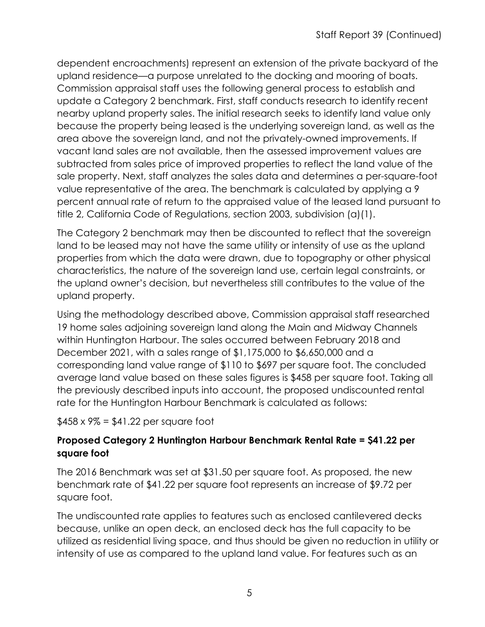dependent encroachments) represent an extension of the private backyard of the upland residence—a purpose unrelated to the docking and mooring of boats. Commission appraisal staff uses the following general process to establish and update a Category 2 benchmark. First, staff conducts research to identify recent nearby upland property sales. The initial research seeks to identify land value only because the property being leased is the underlying sovereign land, as well as the area above the sovereign land, and not the privately-owned improvements. If vacant land sales are not available, then the assessed improvement values are subtracted from sales price of improved properties to reflect the land value of the sale property. Next, staff analyzes the sales data and determines a per-square-foot value representative of the area. The benchmark is calculated by applying a 9 percent annual rate of return to the appraised value of the leased land pursuant to title 2, California Code of Regulations, section 2003, subdivision (a)(1).

The Category 2 benchmark may then be discounted to reflect that the sovereign land to be leased may not have the same utility or intensity of use as the upland properties from which the data were drawn, due to topography or other physical characteristics, the nature of the sovereign land use, certain legal constraints, or the upland owner's decision, but nevertheless still contributes to the value of the upland property.

Using the methodology described above, Commission appraisal staff researched 19 home sales adjoining sovereign land along the Main and Midway Channels within Huntington Harbour. The sales occurred between February 2018 and December 2021, with a sales range of \$1,175,000 to \$6,650,000 and a corresponding land value range of \$110 to \$697 per square foot. The concluded average land value based on these sales figures is \$458 per square foot. Taking all the previously described inputs into account, the proposed undiscounted rental rate for the Huntington Harbour Benchmark is calculated as follows:

 $$458 \times 9\% = $41.22$  per square foot

#### **Proposed Category 2 Huntington Harbour Benchmark Rental Rate = \$41.22 per square foot**

The 2016 Benchmark was set at \$31.50 per square foot. As proposed, the new benchmark rate of \$41.22 per square foot represents an increase of \$9.72 per square foot.

The undiscounted rate applies to features such as enclosed cantilevered decks because, unlike an open deck, an enclosed deck has the full capacity to be utilized as residential living space, and thus should be given no reduction in utility or intensity of use as compared to the upland land value. For features such as an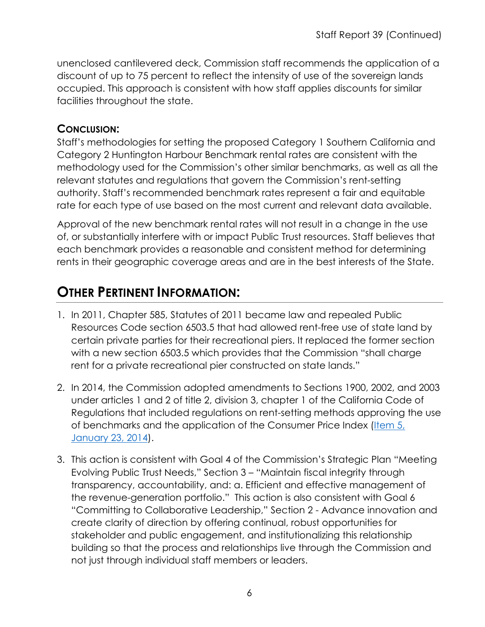unenclosed cantilevered deck, Commission staff recommends the application of a discount of up to 75 percent to reflect the intensity of use of the sovereign lands occupied. This approach is consistent with how staff applies discounts for similar facilities throughout the state.

### **CONCLUSION:**

Staff's methodologies for setting the proposed Category 1 Southern California and Category 2 Huntington Harbour Benchmark rental rates are consistent with the methodology used for the Commission's other similar benchmarks, as well as all the relevant statutes and regulations that govern the Commission's rent-setting authority. Staff's recommended benchmark rates represent a fair and equitable rate for each type of use based on the most current and relevant data available.

Approval of the new benchmark rental rates will not result in a change in the use of, or substantially interfere with or impact Public Trust resources. Staff believes that each benchmark provides a reasonable and consistent method for determining rents in their geographic coverage areas and are in the best interests of the State.

### **OTHER PERTINENT INFORMATION:**

- 1. In 2011, Chapter 585, Statutes of 2011 became law and repealed Public Resources Code section 6503.5 that had allowed rent-free use of state land by certain private parties for their recreational piers. It replaced the former section with a new section 6503.5 which provides that the Commission "shall charge rent for a private recreational pier constructed on state lands."
- 2. In 2014, the Commission adopted amendments to Sections 1900, 2002, and 2003 under articles 1 and 2 of title 2, division 3, chapter 1 of the California Code of Regulations that included regulations on rent-setting methods approving the use of benchmarks and the application of the Consumer Price Index (Item 5, [January 23, 2014\)](https://www.slc.ca.gov/Meeting_Summaries/2014_Documents/01-23-14/Items_and_exhibits/05.pdf).
- 3. This action is consistent with Goal 4 of the Commission's Strategic Plan "Meeting Evolving Public Trust Needs," Section 3 – "Maintain fiscal integrity through transparency, accountability, and: a. Efficient and effective management of the revenue-generation portfolio." This action is also consistent with Goal 6 "Committing to Collaborative Leadership," Section 2 - Advance innovation and create clarity of direction by offering continual, robust opportunities for stakeholder and public engagement, and institutionalizing this relationship building so that the process and relationships live through the Commission and not just through individual staff members or leaders.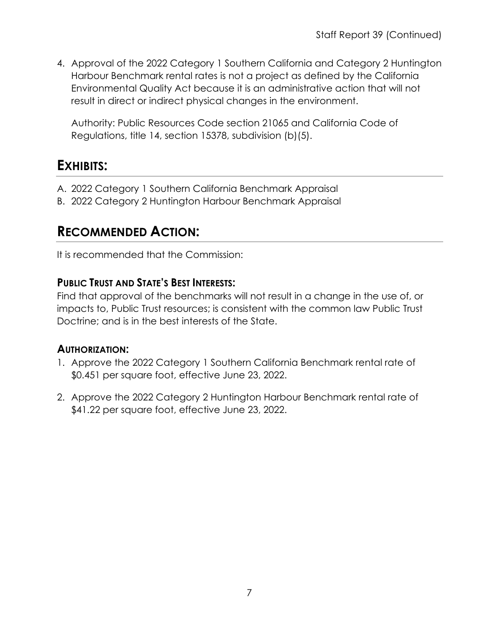4. Approval of the 2022 Category 1 Southern California and Category 2 Huntington Harbour Benchmark rental rates is not a project as defined by the California Environmental Quality Act because it is an administrative action that will not result in direct or indirect physical changes in the environment.

Authority: Public Resources Code section 21065 and California Code of Regulations, title 14, section 15378, subdivision (b)(5).

### **EXHIBITS:**

- A. 2022 Category 1 Southern California Benchmark Appraisal
- B. 2022 Category 2 Huntington Harbour Benchmark Appraisal

### **RECOMMENDED ACTION:**

It is recommended that the Commission:

#### **PUBLIC TRUST AND STATE'S BEST INTERESTS:**

Find that approval of the benchmarks will not result in a change in the use of, or impacts to, Public Trust resources; is consistent with the common law Public Trust Doctrine; and is in the best interests of the State.

#### **AUTHORIZATION:**

- 1. Approve the 2022 Category 1 Southern California Benchmark rental rate of \$0.451 per square foot, effective June 23, 2022.
- 2. Approve the 2022 Category 2 Huntington Harbour Benchmark rental rate of \$41.22 per square foot, effective June 23, 2022.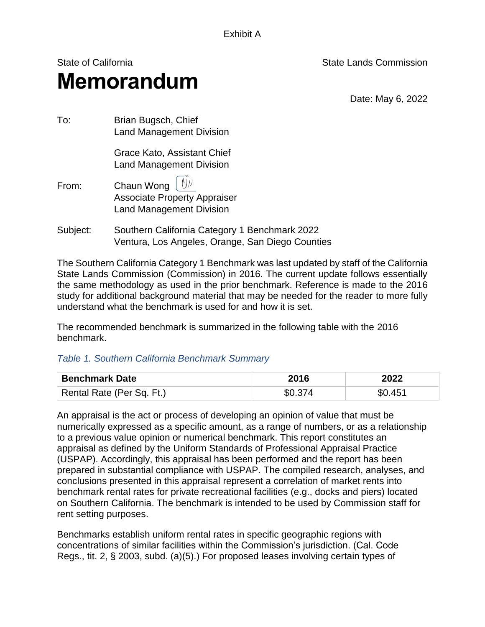Exhibit A

## State of California State Lands Commission **Memorandum**

Date: May 6, 2022

| To:      | Brian Bugsch, Chief<br><b>Land Management Division</b>                                                 |
|----------|--------------------------------------------------------------------------------------------------------|
|          | Grace Kato, Assistant Chief<br><b>Land Management Division</b>                                         |
| From:    | Chaun Wong $\int \mathbb{W}$<br><b>Associate Property Appraiser</b><br><b>Land Management Division</b> |
| Subject: | Southern California Category 1 Benchmark 2022<br>Ventura, Los Angeles, Orange, San Diego Counties      |

 The Southern California Category 1 Benchmark was last updated by staff of the California State Lands Commission (Commission) in 2016. The current update follows essentially the same methodology as used in the prior benchmark. Reference is made to the 2016 study for additional background material that may be needed for the reader to more fully

The recommended benchmark is summarized in the following table with the 2016 benchmark.

#### *Table 1. Southern California Benchmark Summary*

understand what the benchmark is used for and how it is set.

| <b>Benchmark Date</b>     | 2016    | 2022    |  |
|---------------------------|---------|---------|--|
| Rental Rate (Per Sq. Ft.) | \$0.374 | \$0.451 |  |

An appraisal is the act or process of developing an opinion of value that must be numerically expressed as a specific amount, as a range of numbers, or as a relationship to a previous value opinion or numerical benchmark. This report constitutes an appraisal as defined by the Uniform Standards of Professional Appraisal Practice (USPAP). Accordingly, this appraisal has been performed and the report has been prepared in substantial compliance with USPAP. The compiled research, analyses, and conclusions presented in this appraisal represent a correlation of market rents into benchmark rental rates for private recreational facilities (e.g., docks and piers) located on Southern California. The benchmark is intended to be used by Commission staff for rent setting purposes.

Benchmarks establish uniform rental rates in specific geographic regions with concentrations of similar facilities within the Commission's jurisdiction. (Cal. Code Regs., tit. 2, § 2003, subd. (a)(5).) For proposed leases involving certain types of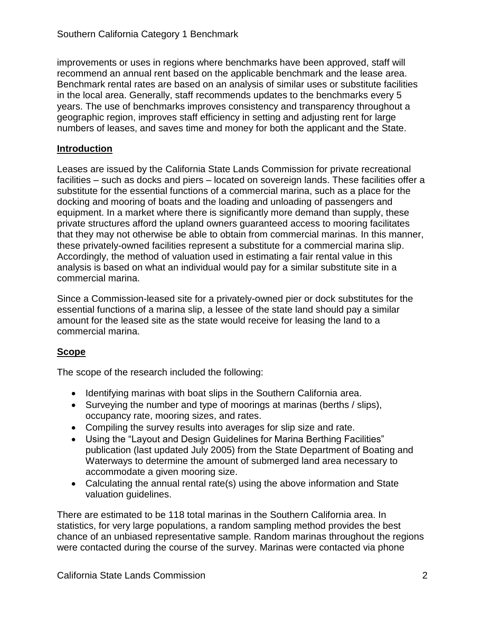improvements or uses in regions where benchmarks have been approved, staff will recommend an annual rent based on the applicable benchmark and the lease area. Benchmark rental rates are based on an analysis of similar uses or substitute facilities in the local area. Generally, staff recommends updates to the benchmarks every 5 years. The use of benchmarks improves consistency and transparency throughout a geographic region, improves staff efficiency in setting and adjusting rent for large numbers of leases, and saves time and money for both the applicant and the State.

#### **Introduction**

 docking and mooring of boats and the loading and unloading of passengers and Accordingly, the method of valuation used in estimating a fair rental value in this analysis is based on what an individual would pay for a similar substitute site in a Leases are issued by the California State Lands Commission for private recreational facilities – such as docks and piers – located on sovereign lands. These facilities offer a substitute for the essential functions of a commercial marina, such as a place for the equipment. In a market where there is significantly more demand than supply, these private structures afford the upland owners guaranteed access to mooring facilitates that they may not otherwise be able to obtain from commercial marinas. In this manner, these privately-owned facilities represent a substitute for a commercial marina slip. commercial marina.

 amount for the leased site as the state would receive for leasing the land to a Since a Commission-leased site for a privately-owned pier or dock substitutes for the essential functions of a marina slip, a lessee of the state land should pay a similar commercial marina.

#### **Scope**

The scope of the research included the following:

- Identifying marinas with boat slips in the Southern California area.
- Surveying the number and type of moorings at marinas (berths / slips), occupancy rate, mooring sizes, and rates.
- Compiling the survey results into averages for slip size and rate.
- Waterways to determine the amount of submerged land area necessary to Using the "Layout and Design Guidelines for Marina Berthing Facilities" publication (last updated July 2005) from the State Department of Boating and accommodate a given mooring size.
- Calculating the annual rental rate(s) using the above information and State valuation guidelines.

There are estimated to be 118 total marinas in the Southern California area. In statistics, for very large populations, a random sampling method provides the best chance of an unbiased representative sample. Random marinas throughout the regions were contacted during the course of the survey. Marinas were contacted via phone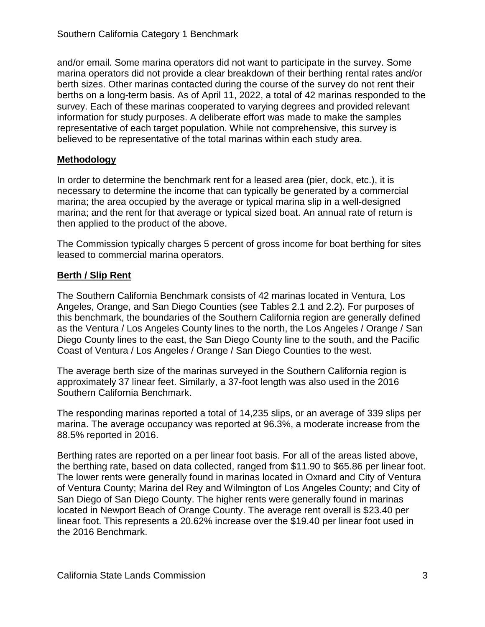and/or email. Some marina operators did not want to participate in the survey. Some marina operators did not provide a clear breakdown of their berthing rental rates and/or berth sizes. Other marinas contacted during the course of the survey do not rent their berths on a long-term basis. As of April 11, 2022, a total of 42 marinas responded to the survey. Each of these marinas cooperated to varying degrees and provided relevant information for study purposes. A deliberate effort was made to make the samples representative of each target population. While not comprehensive, this survey is believed to be representative of the total marinas within each study area.

#### **Methodology**

In order to determine the benchmark rent for a leased area (pier, dock, etc.), it is necessary to determine the income that can typically be generated by a commercial marina; the area occupied by the average or typical marina slip in a well-designed marina; and the rent for that average or typical sized boat. An annual rate of return is then applied to the product of the above.

 The Commission typically charges 5 percent of gross income for boat berthing for sites leased to commercial marina operators.

#### **Berth / Slip Rent**

 as the Ventura / Los Angeles County lines to the north, the Los Angeles / Orange / San Diego County lines to the east, the San Diego County line to the south, and the Pacific Coast of Ventura / Los Angeles / Orange / San Diego Counties to the west. The Southern California Benchmark consists of 42 marinas located in Ventura, Los Angeles, Orange, and San Diego Counties (see Tables 2.1 and 2.2). For purposes of this benchmark, the boundaries of the Southern California region are generally defined

The average berth size of the marinas surveyed in the Southern California region is approximately 37 linear feet. Similarly, a 37-foot length was also used in the 2016 Southern California Benchmark.

 marina. The average occupancy was reported at 96.3%, a moderate increase from the The responding marinas reported a total of 14,235 slips, or an average of 339 slips per 88.5% reported in 2016.

Berthing rates are reported on a per linear foot basis. For all of the areas listed above, the berthing rate, based on data collected, ranged from \$11.90 to \$65.86 per linear foot. The lower rents were generally found in marinas located in Oxnard and City of Ventura of Ventura County; Marina del Rey and Wilmington of Los Angeles County; and City of San Diego of San Diego County. The higher rents were generally found in marinas located in Newport Beach of Orange County. The average rent overall is \$23.40 per linear foot. This represents a 20.62% increase over the \$19.40 per linear foot used in the 2016 Benchmark.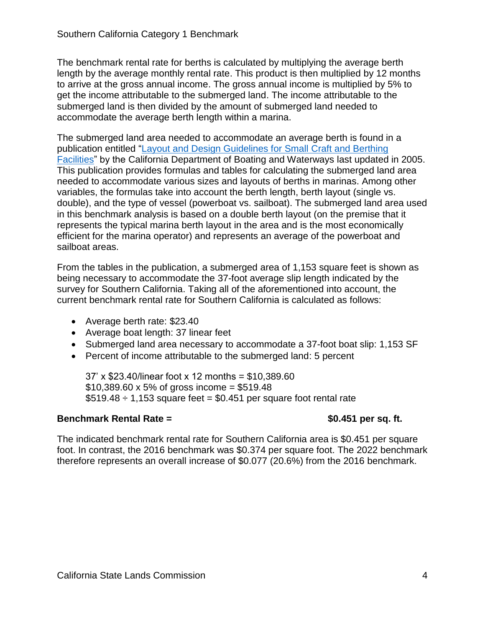length by the average monthly rental rate. This product is then multiplied by 12 months The benchmark rental rate for berths is calculated by multiplying the average berth to arrive at the gross annual income. The gross annual income is multiplied by 5% to get the income attributable to the submerged land. The income attributable to the submerged land is then divided by the amount of submerged land needed to accommodate the average berth length within a marina.

 This publication provides formulas and tables for calculating the submerged land area needed to accommodate various sizes and layouts of berths in marinas. Among other double), and the type of vessel (powerboat vs. sailboat). The submerged land area used efficient for the marina operator) and represents an average of the powerboat and The submerged land area needed to accommodate an average berth is found in a publication entitled "Layout and Design Guidelines for Small Craft and Berthing Facilities" by the California Department of Boating and Waterways last updated in 2005. variables, the formulas take into account the berth length, berth layout (single vs. in this benchmark analysis is based on a double berth layout (on the premise that it represents the typical marina berth layout in the area and is the most economically sailboat areas.

From the tables in the publication, a submerged area of 1,153 square feet is shown as being necessary to accommodate the 37-foot average slip length indicated by the survey for Southern California. Taking all of the aforementioned into account, the current benchmark rental rate for Southern California is calculated as follows:

- Average berth rate: \$23.40
- Average boat length: 37 linear feet
- Submerged land area necessary to accommodate a 37-foot boat slip: 1,153 SF
- Percent of income attributable to the submerged land: 5 percent

37' x \$23.40/linear foot x 12 months = \$[10,389.60](https://10,389.60)   $$10,389.60 \times 5\%$  $$10,389.60 \times 5\%$  $$10,389.60 \times 5\%$  of gross income = \$519.48  $$519.48 \div 1,153$  square feet = \$0.451 per square foot rental rate

#### **Benchmark Rental Rate =**  $$0.451$  **per sq. ft.**

 foot. In contrast, the 2016 benchmark was \$0.374 per square foot. The 2022 benchmark The indicated benchmark rental rate for Southern California area is \$0.451 per square therefore represents an overall increase of \$0.077 (20.6%) from the 2016 benchmark.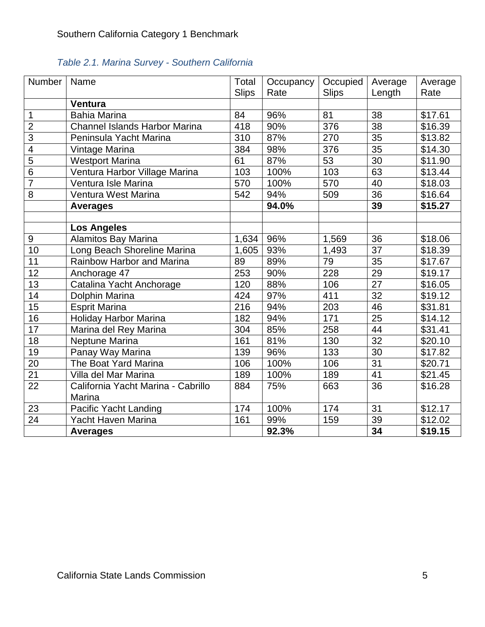| <b>Number</b>   | Name                                 | Total        | Occupancy | Occupied     | Average         | Average |
|-----------------|--------------------------------------|--------------|-----------|--------------|-----------------|---------|
|                 |                                      | <b>Slips</b> | Rate      | <b>Slips</b> | Length          | Rate    |
|                 | Ventura                              |              |           |              |                 |         |
| 1               | <b>Bahia Marina</b>                  | 84           | 96%       | 81           | 38              | \$17.61 |
| $\overline{2}$  | <b>Channel Islands Harbor Marina</b> | 418          | 90%       | 376          | 38              | \$16.39 |
| $\overline{3}$  | Peninsula Yacht Marina               | 310          | 87%       | 270          | 35              | \$13.82 |
| $\overline{4}$  | Vintage Marina                       | 384          | 98%       | 376          | $\overline{35}$ | \$14.30 |
| $\overline{5}$  | <b>Westport Marina</b>               | 61           | 87%       | 53           | 30              | \$11.90 |
| 6               | Ventura Harbor Village Marina        | 103          | 100%      | 103          | 63              | \$13.44 |
| $\overline{7}$  | Ventura Isle Marina                  | 570          | 100%      | 570          | 40              | \$18.03 |
| $\overline{8}$  | Ventura West Marina                  | 542          | 94%       | 509          | 36              | \$16.64 |
|                 | <b>Averages</b>                      |              | 94.0%     |              | 39              | \$15.27 |
|                 |                                      |              |           |              |                 |         |
|                 | <b>Los Angeles</b>                   |              |           |              |                 |         |
| 9               | <b>Alamitos Bay Marina</b>           | 1,634        | 96%       | 1,569        | 36              | \$18.06 |
| 10              | Long Beach Shoreline Marina          | 1,605        | 93%       | 1,493        | 37              | \$18.39 |
| 11              | Rainbow Harbor and Marina            | 89<br>253    | 89%       | 79           | 35              | \$17.67 |
| $\overline{12}$ | Anchorage 47                         |              | 90%       | 228          | 29              | \$19.17 |
| 13              | Catalina Yacht Anchorage             |              | 88%       | 106          | $\overline{27}$ | \$16.05 |
| 14              | Dolphin Marina                       |              | 97%       | 411          | 32              | \$19.12 |
| $\overline{15}$ | <b>Esprit Marina</b>                 | 216          | 94%       | 203          | 46              | \$31.81 |
| 16              | <b>Holiday Harbor Marina</b>         | 182          | 94%       | 171          | $\overline{25}$ | \$14.12 |
| 17              | Marina del Rey Marina                | 304          | 85%       | 258          | 44              | \$31.41 |
| 18              | Neptune Marina                       | 161          | 81%       | 130          | 32              | \$20.10 |
| 19              | Panay Way Marina                     | 139          | 96%       | 133          | $\overline{30}$ | \$17.82 |
| 20              | The Boat Yard Marina                 | 106          | 100%      | 106          | 31              | \$20.71 |
| $\overline{21}$ | Villa del Mar Marina                 | 189          | 100%      | 189          | 41              | \$21.45 |
| $\overline{22}$ | California Yacht Marina - Cabrillo   | 884          | 75%       | 663          | 36              | \$16.28 |
|                 | Marina                               |              |           |              |                 |         |
| 23              | Pacific Yacht Landing                | 174          | 100%      | 174          | 31              | \$12.17 |
| $\overline{24}$ | Yacht Haven Marina                   | 161          | 99%       | 159          | 39              | \$12.02 |
|                 | <b>Averages</b>                      |              | 92.3%     |              | 34              | \$19.15 |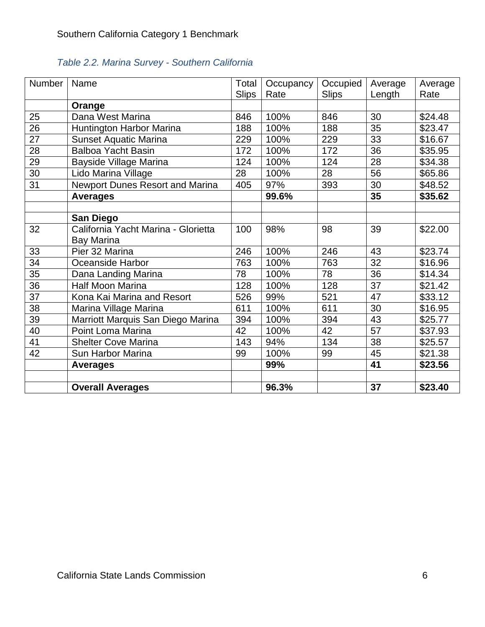| Number | Name                                   | Total        | Occupancy | Occupied     | Average | Average |
|--------|----------------------------------------|--------------|-----------|--------------|---------|---------|
|        |                                        | <b>Slips</b> | Rate      | <b>Slips</b> | Length  | Rate    |
|        | Orange                                 |              |           |              |         |         |
| 25     | Dana West Marina                       | 846          | 100%      | 846          | 30      | \$24.48 |
| 26     | Huntington Harbor Marina               | 188          | 100%      | 188          | 35      | \$23.47 |
| 27     | <b>Sunset Aquatic Marina</b>           | 229          | 100%      | 229          | 33      | \$16.67 |
| 28     | <b>Balboa Yacht Basin</b>              | 172          | 100%      | 172          | 36      | \$35.95 |
| 29     | Bayside Village Marina                 | 124          | 100%      | 124          | 28      | \$34.38 |
| 30     | Lido Marina Village                    | 28           | 100%      | 28           | 56      | \$65.86 |
| 31     | <b>Newport Dunes Resort and Marina</b> | 405          | 97%       | 393          | 30      | \$48.52 |
|        | <b>Averages</b>                        |              | 99.6%     |              | 35      | \$35.62 |
|        |                                        |              |           |              |         |         |
|        | San Diego                              |              |           |              |         |         |
| 32     | California Yacht Marina - Glorietta    | 100          | 98%       | 98           | 39      | \$22.00 |
|        | <b>Bay Marina</b>                      |              |           |              |         |         |
| 33     | Pier 32 Marina                         |              | 100%      | 246          | 43      | \$23.74 |
| 34     | Oceanside Harbor                       |              | 100%      | 763          | 32      | \$16.96 |
| 35     | Dana Landing Marina                    |              | 100%      | 78           | 36      | \$14.34 |
| 36     | <b>Half Moon Marina</b>                | 128          | 100%      | 128          | 37      | \$21.42 |
| 37     | Kona Kai Marina and Resort             | 526          | 99%       | 521          | 47      | \$33.12 |
| 38     | Marina Village Marina                  | 611          | 100%      | 611          | 30      | \$16.95 |
| 39     | Marriott Marquis San Diego Marina      | 394          | 100%      | 394          | 43      | \$25.77 |
| 40     | Point Loma Marina                      | 42           | 100%      | 42           | 57      | \$37.93 |
| 41     | <b>Shelter Cove Marina</b>             | 143          | 94%       | 134          | 38      | \$25.57 |
| 42     | Sun Harbor Marina                      | 99           | 100%      | 99           | 45      | \$21.38 |
|        | <b>Averages</b>                        |              | 99%       |              | 41      | \$23.56 |
|        |                                        |              |           |              |         |         |
|        | <b>Overall Averages</b>                |              | 96.3%     |              | 37      | \$23.40 |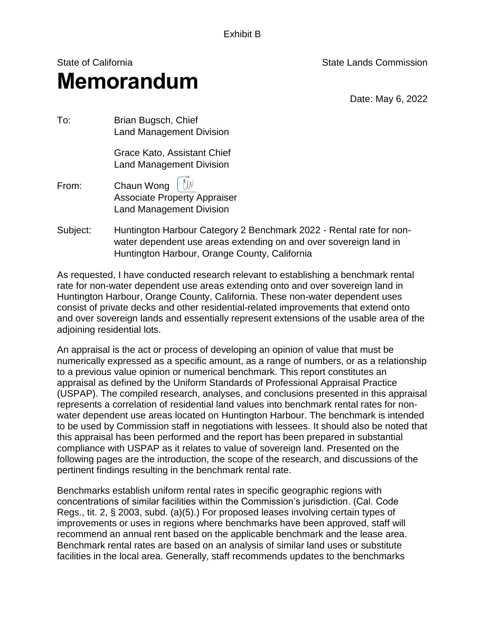Exhibit B

## State of California State Lands Commission **Memorandum**

Date: May 6, 2022

| To:   | Brian Bugsch, Chief<br><b>Land Management Division</b>                                                                                      |
|-------|---------------------------------------------------------------------------------------------------------------------------------------------|
|       | Grace Kato, Assistant Chief<br><b>Land Management Division</b>                                                                              |
| From: | Chaun Wong $\left[\begin{array}{c} \mathbb{W} \end{array}\right]$<br><b>Associate Property Appraiser</b><br><b>Land Management Division</b> |

 water dependent use areas extending on and over s overeign land in Subject: Huntington Harbour Category 2 Benchmark 2022 - Rental rate for non-Huntington Harbour, Orange County, California

 consist of private decks and other residential-related improvements that extend onto and over sovereign lands and essentially represent extensions of the usable area of the As requested, I have conducted research relevant to establishing a benchmark rental rate for non-water dependent use areas extending onto and over sovereign land in Huntington Harbour, Orange County, California. These non-water dependent uses adjoining residential lots.

 water dependent use areas located on Huntington Harbour. The benchmark is intended to be used by Commission staff in negotiations with lessees. It should also be noted that An appraisal is the act or process of developing an opinion of value that must be numerically expressed as a specific amount, as a range of numbers, or as a relationship to a previous value opinion or numerical benchmark. This report constitutes an appraisal as defined by the Uniform Standards of Professional Appraisal Practice (USPAP). The compiled research, analyses, and conclusions presented in this appraisal represents a correlation of residential land values into benchmark rental rates for nonthis appraisal has been performed and the report has been prepared in substantial compliance with USPAP as it relates to value of sovereign land. Presented on the following pages are the introduction, the scope of the research, and discussions of the pertinent findings resulting in the benchmark rental rate.

Benchmarks establish uniform rental rates in specific geographic regions with concentrations of similar facilities within the Commission's jurisdiction. (Cal. Code Regs., tit. 2, § 2003, subd. (a)(5).) For proposed leases involving certain types of improvements or uses in regions where benchmarks have been approved, staff will recommend an annual rent based on the applicable benchmark and the lease area. Benchmark rental rates are based on an analysis of similar land uses or substitute facilities in the local area. Generally, staff recommends updates to the benchmarks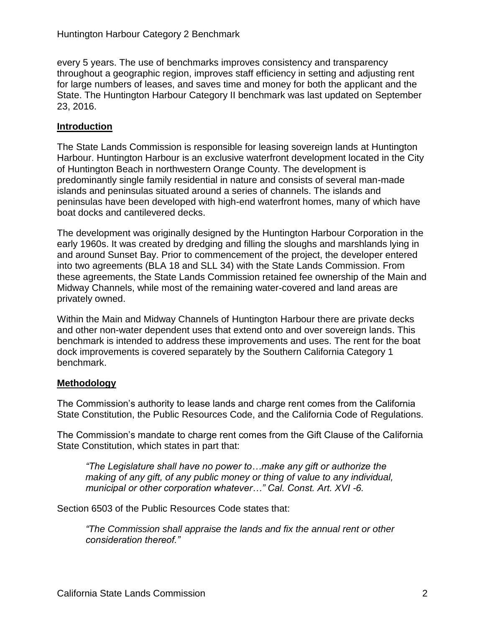every 5 years. The use of benchmarks improves consistency and transparency throughout a geographic region, improves staff efficiency in setting and adjusting rent for large numbers of leases, and saves time and money for both the applicant and the State. The Huntington Harbour Category II benchmark was last updated on September 23, 2016.

#### **Introduction**

The State Lands Commission is responsible for leasing sovereign lands at Huntington Harbour. Huntington Harbour is an exclusive waterfront development located in the City of Huntington Beach in northwestern Orange County. The development is predominantly single family residential in nature and consists of several man-made islands and peninsulas situated around a series of channels. The islands and peninsulas have been developed with high-end waterfront homes, many of which have boat docks and cantilevered decks.

 into two agreements (BLA 18 and SLL 34) with the State Lands Commission. From The development was originally designed by the Huntington Harbour Corporation in the early 1960s. It was created by dredging and filling the sloughs and marshlands lying in and around Sunset Bay. Prior to commencement of the project, the developer entered these agreements, the State Lands Commission retained fee ownership of the Main and Midway Channels, while most of the remaining water-covered and land areas are privately owned.

 and other non-water dependent uses that extend onto and over sovereign lands. This Within the Main and Midway Channels of Huntington Harbour there are private decks benchmark is intended to address these improvements and uses. The rent for the boat dock improvements is covered separately by the Southern California Category 1 benchmark.

#### **Methodology**

The Commission's authority to lease lands and charge rent comes from the California State Constitution, the Public Resources Code, and the California Code of Regulations.

The Commission's mandate to charge rent comes from the Gift Clause of the California State Constitution, which states in part that:

*"The Legislature shall have no power to…make any gift or authorize the making of any gift, of any public money or thing of value to any individual, municipal or other corporation whatever…" Cal. Const. Art. XVI -6.* 

Section 6503 of the Public Resources Code states that:

*"The Commission shall appraise the lands and fix the annual rent or other consideration thereof."*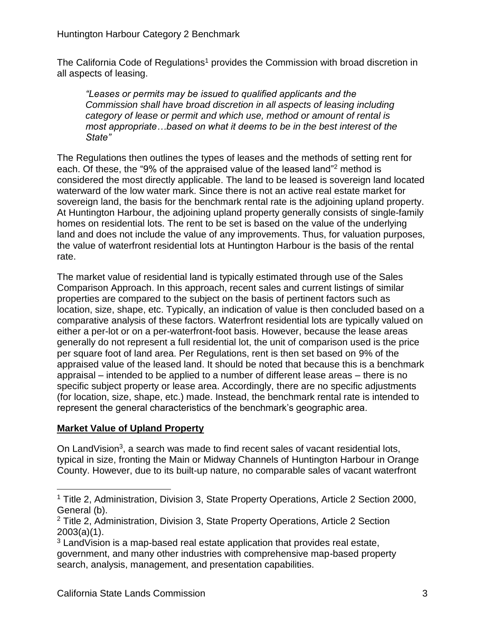The California Code of Regulations<sup>1</sup> provides the Commission with broad discretion in all aspects of leasing.

*"Leases or permits may be issued to qualified applicants and the Commission shall have broad discretion in all aspects of leasing including category of lease or permit and which use, method or amount of rental is most appropriate…based on what it deems to be in the best interest of the State"*

 considered the most directly applicable. The land to be leased is sovereign land located homes on residential lots. The rent to be set is based on the value of the underlying land and does not include the value of any improvements. Thus, for valuation purposes, the value of waterfront residential lots at Huntington Harbour is the basis of the rental The Regulations then outlines the types of leases and the methods of setting rent for each. Of these, the "9% of the appraised value of the leased land" 2 method is waterward of the low water mark. Since there is not an active real estate market for sovereign land, the basis for the benchmark rental rate is the adjoining upland property. At Huntington Harbour, the adjoining upland property generally consists of single-family rate.

The market value of residential land is typically estimated through use of the Sales Comparison Approach. In this approach, recent sales and current listings of similar properties are compared to the subject on the basis of pertinent factors such as location, size, shape, etc. Typically, an indication of value is then concluded based on a comparative analysis of these factors. Waterfront residential lots are typically valued on either a per-lot or on a per-waterfront-foot basis. However, because the lease areas generally do not represent a full residential lot, the unit of comparison used is the price per square foot of land area. Per Regulations, rent is then set based on 9% of the appraised value of the leased land. It should be noted that because this is a benchmark appraisal – intended to be applied to a number of different lease areas – there is no specific subject property or lease area. Accordingly, there are no specific adjustments (for location, size, shape, etc.) made. Instead, the benchmark rental rate is intended to represent the general characteristics of the benchmark's geographic area.

#### **Market Value of Upland Property**

 $\overline{a}$ 

On LandVision<sup>3</sup>, a search was made to find recent sales of vacant residential lots, typical in size, fronting the Main or Midway Channels of Huntington Harbour in Orange County. However, due to its built-up nature, no comparable sales of vacant waterfront

<sup>1</sup> Title 2, Administration, Division 3, State Property Operations, Article 2 Section 2000, General (b).

<sup>2</sup> Title 2, Administration, Division 3, State Property Operations, Article 2 Section 2003(a)(1).

<sup>&</sup>lt;sup>3</sup> LandVision is a map-based real estate application that provides real estate, government, and many other industries with comprehensive map-based property search, analysis, management, and presentation capabilities.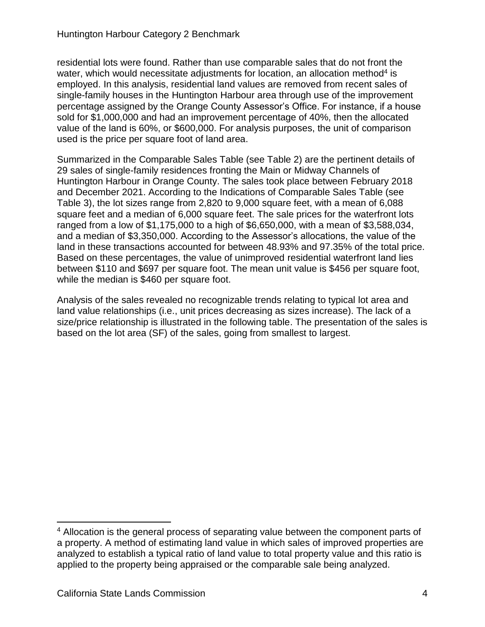single-family houses in the Huntington Harbour area through use of the improvement sold for \$1,000,000 and had an improvement percentage of 40%, then the allocated residential lots were found. Rather than use comparable sales that do not front the water, which would necessitate adjustments for location, an allocation method<sup>4</sup> is employed. In this analysis, residential land values are removed from recent sales of percentage assigned by the Orange County Assessor's Office. For instance, if a house value of the land is 60%, or \$600,000. For analysis purposes, the unit of comparison used is the price per square foot of land area.

 Table 3), the lot sizes range from 2,820 to 9,000 square feet, with a mean of 6,088 and a median of \$3,350,000. According to the Assessor's allocations, the value of the Based on these percentages, the value of unimproved residential waterfront land lies between \$110 and \$697 per square foot. The mean unit value is \$456 per square foot, Summarized in the Comparable Sales Table (see Table 2) are the pertinent details of 29 sales of single-family residences fronting the Main or Midway Channels of Huntington Harbour in Orange County. The sales took place between February 2018 and December 2021. According to the Indications of Comparable Sales Table (see square feet and a median of 6,000 square feet. The sale prices for the waterfront lots ranged from a low of \$1,175,000 to a high of \$6,650,000, with a mean of \$3,588,034, land in these transactions accounted for between 48.93% and 97.35% of the total price. while the median is \$460 per square foot.

Analysis of the sales revealed no recognizable trends relating to typical lot area and land value relationships (i.e., unit prices decreasing as sizes increase). The lack of a size/price relationship is illustrated in the following table. The presentation of the sales is based on the lot area (SF) of the sales, going from smallest to largest.

 $\overline{a}$  a property. A method of estimating land value in which sales of improved properties are applied to the property being appraised or the comparable sale being analyzed. <sup>4</sup> Allocation is the general process of separating value between the component parts of analyzed to establish a typical ratio of land value to total property value and this ratio is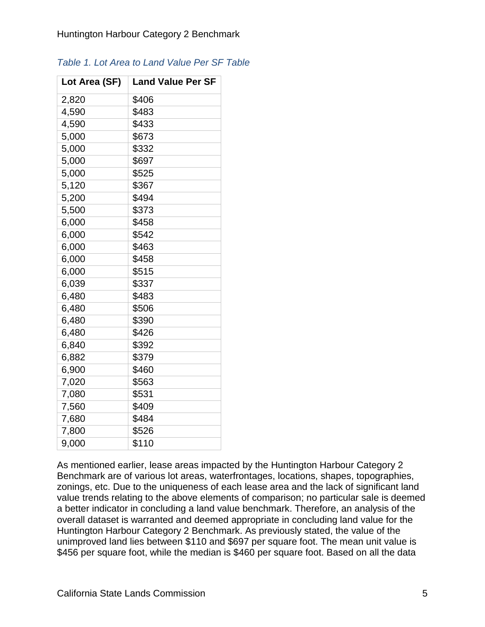| Lot Area (SF) | <b>Land Value Per SF</b> |
|---------------|--------------------------|
| 2,820         | \$406                    |
| 4,590         | \$483                    |
| 4,590         | \$433                    |
| 5,000         | \$673                    |
| 5,000         | \$332                    |
| 5,000         | \$697                    |
| 5,000         | \$525                    |
| 5,120         | \$367                    |
| 5,200         | \$494                    |
| 5,500         | \$373                    |
| 6,000         | \$458                    |
| 6,000         | \$542                    |
| 6,000         | \$463                    |
| 6,000         | \$458                    |
| 6,000         | \$515                    |
| 6,039         | \$337                    |
| 6,480         | \$483                    |
| 6,480         | \$506                    |
| 6,480         | \$390                    |
| 6,480         | \$426                    |
| 6,840         | \$392                    |
| 6,882         | \$379                    |
| 6,900         | \$460                    |
| 7,020         | \$563                    |
| 7,080         | \$531                    |
| 7,560         | \$409                    |
| 7,680         | \$484                    |
| 7,800         | \$526                    |
| 9,000         | \$110                    |

#### *Table 1. Lot Area to Land Value Per SF Table*

As mentioned earlier, lease areas impacted by the Huntington Harbour Category 2 Benchmark are of various lot areas, waterfrontages, locations, shapes, topographies, zonings, etc. Due to the uniqueness of each lease area and the lack of significant land value trends relating to the above elements of comparison; no particular sale is deemed a better indicator in concluding a land value benchmark. Therefore, an analysis of the overall dataset is warranted and deemed appropriate in concluding land value for the Huntington Harbour Category 2 Benchmark. As previously stated, the value of the unimproved land lies between \$110 and \$697 per square foot. The mean unit value is \$456 per square foot, while the median is \$460 per square foot. Based on all the data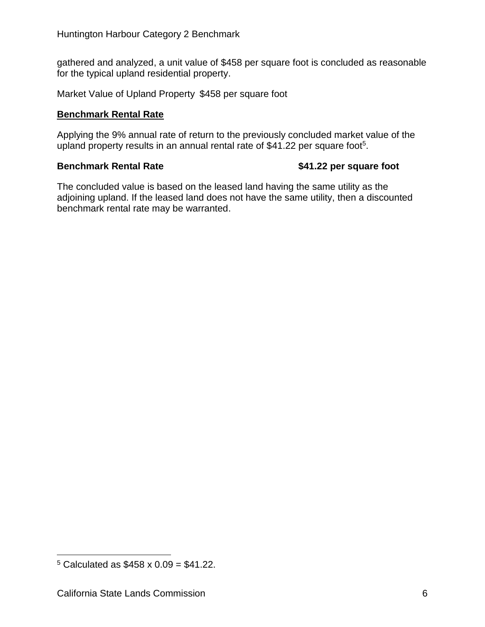gathered and analyzed, a unit value of \$458 per square foot is concluded as reasonable for the typical upland residential property.

Market Value of Upland Property \$458 per square foot

#### **Benchmark Rental Rate**

Applying the 9% annual rate of return to the previously concluded market value of the upland property results in an annual rental rate of \$41.22 per square foot<sup>5</sup>.

#### **Benchmark Rental Rate 600 S41.22 per square foot**

The concluded value is based on the leased land having the same utility as the adjoining upland. If the leased land does not have the same utility, then a discounted benchmark rental rate may be warranted.

 $\overline{a}$ 

 $5$  Calculated as  $$458 \times 0.09 = $41.22$ .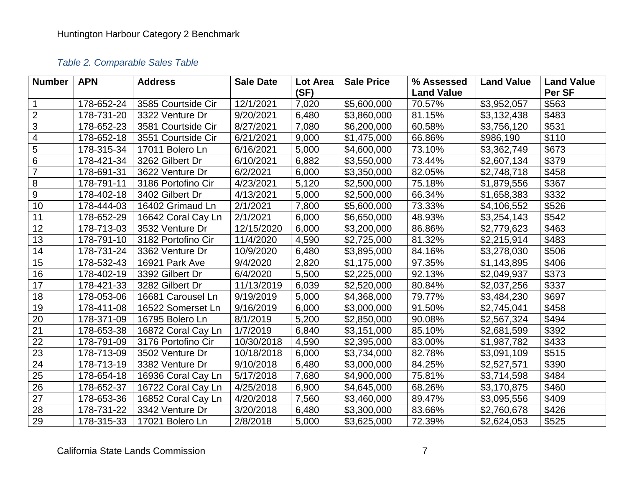### *Table 2. Comparable Sales Table*

| <b>Number</b>           | <b>APN</b> | <b>Address</b>     | <b>Sale Date</b> | <b>Lot Area</b> | <b>Sale Price</b> | % Assessed        | <b>Land Value</b> | <b>Land Value</b> |
|-------------------------|------------|--------------------|------------------|-----------------|-------------------|-------------------|-------------------|-------------------|
|                         |            |                    |                  | (SF)            |                   | <b>Land Value</b> |                   | Per SF            |
| $\mathbf 1$             | 178-652-24 | 3585 Courtside Cir | 12/1/2021        | 7,020           | \$5,600,000       | 70.57%            | \$3,952,057       | \$563             |
| $\overline{2}$          | 178-731-20 | 3322 Venture Dr    | 9/20/2021        | 6,480           | \$3,860,000       | 81.15%            | \$3,132,438       | \$483             |
| 3                       | 178-652-23 | 3581 Courtside Cir | 8/27/2021        | 7,080           | \$6,200,000       | 60.58%            | \$3,756,120       | \$531             |
| $\overline{\mathbf{4}}$ | 178-652-18 | 3551 Courtside Cir | 6/21/2021        | 9,000           | \$1,475,000       | 66.86%            | \$986,190         | \$110             |
| 5                       | 178-315-34 | 17011 Bolero Ln    | 6/16/2021        | 5,000           | \$4,600,000       | 73.10%            | \$3,362,749       | \$673             |
| 6                       | 178-421-34 | 3262 Gilbert Dr    | 6/10/2021        | 6,882           | \$3,550,000       | 73.44%            | \$2,607,134       | \$379             |
| $\overline{7}$          | 178-691-31 | 3622 Venture Dr    | 6/2/2021         | 6,000           | \$3,350,000       | 82.05%            | \$2,748,718       | \$458             |
| $\,8\,$                 | 178-791-11 | 3186 Portofino Cir | 4/23/2021        | 5,120           | \$2,500,000       | 75.18%            | \$1,879,556       | \$367             |
| $9\,$                   | 178-402-18 | 3402 Gilbert Dr    | 4/13/2021        | 5,000           | \$2,500,000       | 66.34%            | \$1,658,383       | \$332             |
| 10                      | 178-444-03 | 16402 Grimaud Ln   | 2/1/2021         | 7,800           | \$5,600,000       | 73.33%            | \$4,106,552       | \$526             |
| 11                      | 178-652-29 | 16642 Coral Cay Ln | 2/1/2021         | 6,000           | \$6,650,000       | 48.93%            | \$3,254,143       | \$542             |
| 12                      | 178-713-03 | 3532 Venture Dr    | 12/15/2020       | 6,000           | \$3,200,000       | 86.86%            | \$2,779,623       | \$463             |
| 13                      | 178-791-10 | 3182 Portofino Cir | 11/4/2020        | 4,590           | \$2,725,000       | 81.32%            | \$2,215,914       | \$483             |
| 14                      | 178-731-24 | 3362 Venture Dr    | 10/9/2020        | 6,480           | \$3,895,000       | 84.16%            | \$3,278,030       | \$506             |
| 15                      | 178-532-43 | 16921 Park Ave     | 9/4/2020         | 2,820           | \$1,175,000       | 97.35%            | \$1,143,895       | \$406             |
| 16                      | 178-402-19 | 3392 Gilbert Dr    | 6/4/2020         | 5,500           | \$2,225,000       | 92.13%            | \$2,049,937       | \$373             |
| $\overline{17}$         | 178-421-33 | 3282 Gilbert Dr    | 11/13/2019       | 6,039           | \$2,520,000       | 80.84%            | \$2,037,256       | \$337             |
| 18                      | 178-053-06 | 16681 Carousel Ln  | 9/19/2019        | 5,000           | \$4,368,000       | 79.77%            | \$3,484,230       | \$697             |
| 19                      | 178-411-08 | 16522 Somerset Ln  | 9/16/2019        | 6,000           | \$3,000,000       | 91.50%            | \$2,745,041       | \$458             |
| 20                      | 178-371-09 | 16795 Bolero Ln    | 8/1/2019         | 5,200           | \$2,850,000       | 90.08%            | \$2,567,324       | \$494             |
| 21                      | 178-653-38 | 16872 Coral Cay Ln | 1/7/2019         | 6,840           | \$3,151,000       | 85.10%            | \$2,681,599       | \$392             |
| $\overline{22}$         | 178-791-09 | 3176 Portofino Cir | 10/30/2018       | 4,590           | \$2,395,000       | 83.00%            | \$1,987,782       | \$433             |
| 23                      | 178-713-09 | 3502 Venture Dr    | 10/18/2018       | 6,000           | \$3,734,000       | 82.78%            | \$3,091,109       | \$515             |
| 24                      | 178-713-19 | 3382 Venture Dr    | 9/10/2018        | 6,480           | \$3,000,000       | 84.25%            | \$2,527,571       | \$390             |
| 25                      | 178-654-18 | 16936 Coral Cay Ln | 5/17/2018        | 7,680           | \$4,900,000       | 75.81%            | \$3,714,598       | \$484             |
| $\overline{26}$         | 178-652-37 | 16722 Coral Cay Ln | 4/25/2018        | 6,900           | \$4,645,000       | 68.26%            | \$3,170,875       | \$460             |
| 27                      | 178-653-36 | 16852 Coral Cay Ln | 4/20/2018        | 7,560           | \$3,460,000       | 89.47%            | \$3,095,556       | \$409             |
| 28                      | 178-731-22 | 3342 Venture Dr    | 3/20/2018        | 6,480           | \$3,300,000       | 83.66%            | \$2,760,678       | \$426             |
| $\overline{29}$         | 178-315-33 | 17021 Bolero Ln    | 2/8/2018         | 5,000           | \$3,625,000       | 72.39%            | \$2,624,053       | \$525             |